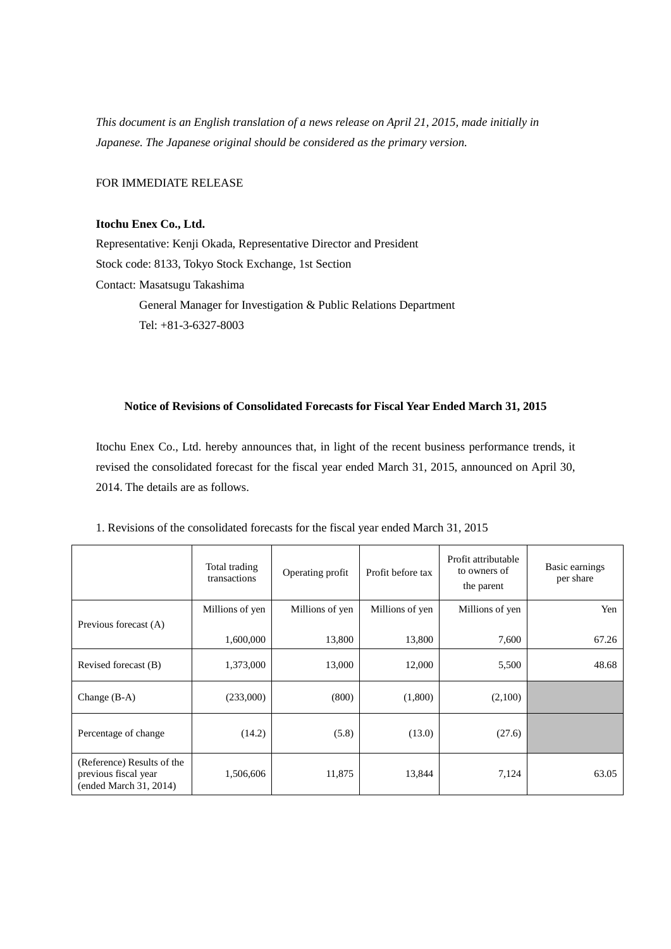*This document is an English translation of a news release on April 21, 2015, made initially in Japanese. The Japanese original should be considered as the primary version.*

FOR IMMEDIATE RELEASE

# **Itochu Enex Co., Ltd.**

Representative: Kenji Okada, Representative Director and President Stock code: 8133, Tokyo Stock Exchange, 1st Section Contact: Masatsugu Takashima General Manager for Investigation & Public Relations Department Tel: +81-3-6327-8003

# **Notice of Revisions of Consolidated Forecasts for Fiscal Year Ended March 31, 2015**

Itochu Enex Co., Ltd. hereby announces that, in light of the recent business performance trends, it revised the consolidated forecast for the fiscal year ended March 31, 2015, announced on April 30, 2014. The details are as follows.

|                                                                              | Total trading<br>transactions | Operating profit | Profit before tax | Profit attributable<br>to owners of<br>the parent | Basic earnings<br>per share |
|------------------------------------------------------------------------------|-------------------------------|------------------|-------------------|---------------------------------------------------|-----------------------------|
| Previous forecast (A)                                                        | Millions of yen               | Millions of yen  | Millions of yen   | Millions of yen                                   | Yen                         |
|                                                                              | 1,600,000                     | 13,800           | 13,800            | 7,600                                             | 67.26                       |
| Revised forecast (B)                                                         | 1,373,000                     | 13,000           | 12,000            | 5,500                                             | 48.68                       |
| Change $(B-A)$                                                               | (233,000)                     | (800)            | (1,800)           | (2,100)                                           |                             |
| Percentage of change                                                         | (14.2)                        | (5.8)            | (13.0)            | (27.6)                                            |                             |
| (Reference) Results of the<br>previous fiscal year<br>(ended March 31, 2014) | 1,506,606                     | 11,875           | 13,844            | 7,124                                             | 63.05                       |

### 1. Revisions of the consolidated forecasts for the fiscal year ended March 31, 2015